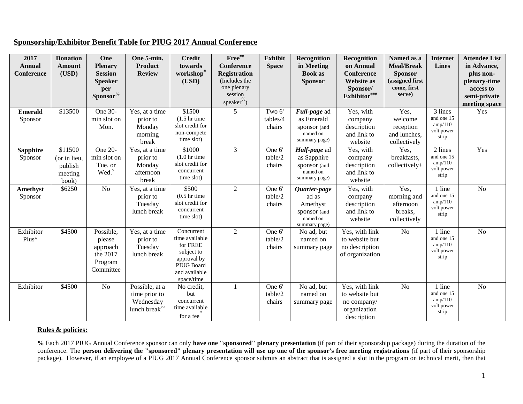|--|

| 2017<br><b>Annual</b><br>Conference | <b>Donation</b><br>Amount<br>(USD)                     | One<br><b>Plenary</b><br><b>Session</b><br><b>Speaker</b><br>per<br>Sponsor <sup>%</sup> | One 5-min.<br><b>Product</b><br><b>Review</b>                                   | <b>Credit</b><br>towards<br>workshop <sup>#</sup><br>(USD)                                                         | $Free^{\#}\square$<br><b>Conference</b><br><b>Registration</b><br>(Includes the<br>one plenary<br>session<br>speaker <sup>%</sup> ) | <b>Exhibit</b><br><b>Space</b> | Recognition<br>in Meeting<br><b>Book as</b><br><b>Sponsor</b>                  | Recognition<br>on Annual<br>Conference<br><b>Website as</b><br>Sponsor/<br>Exhibitor $\mathbf{f}^{\# \# \#}$ | Named as a<br><b>Meal/Break</b><br><b>Sponsor</b><br>(assigned first<br>come, first<br>serve) | Internet<br><b>Lines</b>                                | <b>Attendee List</b><br>in Advance,<br>plus non-<br>plenary-time<br>access to<br>semi-private<br>meeting space |
|-------------------------------------|--------------------------------------------------------|------------------------------------------------------------------------------------------|---------------------------------------------------------------------------------|--------------------------------------------------------------------------------------------------------------------|-------------------------------------------------------------------------------------------------------------------------------------|--------------------------------|--------------------------------------------------------------------------------|--------------------------------------------------------------------------------------------------------------|-----------------------------------------------------------------------------------------------|---------------------------------------------------------|----------------------------------------------------------------------------------------------------------------|
| <b>Emerald</b><br>Sponsor           | \$13500                                                | One 30-<br>min slot on<br>Mon.                                                           | Yes, at a time<br>prior to<br>Monday<br>morning<br>break                        | \$1500<br>$(1.5 \text{ hr time})$<br>slot credit for<br>non-compete<br>time slot)                                  | 5                                                                                                                                   | Two 6'<br>tables/4<br>chairs   | Full-page ad<br>as Emerald<br>sponsor (and<br>named on<br>summary page)        | Yes, with<br>company<br>description<br>and link to<br>website                                                | Yes,<br>welcome<br>reception<br>and lunches,<br>collectively                                  | 3 lines<br>and one 15<br>amp/110<br>volt power<br>strip | Yes                                                                                                            |
| <b>Sapphire</b><br>Sponsor          | \$11500<br>(or in lieu,<br>publish<br>meeting<br>book) | One 20-<br>min slot on<br>Tue. or<br>Wed.                                                | Yes, at a time<br>prior to<br>Monday<br>afternoon<br>break                      | \$1000<br>$(1.0 \text{ hr time})$<br>slot credit for<br>concurrent<br>time slot)                                   | 3                                                                                                                                   | One 6'<br>table/2<br>chairs    | Half-page ad<br>as Sapphire<br>sponsor (and<br>named on<br>summary page)       | Yes, with<br>company<br>description<br>and link to<br>website                                                | Yes,<br>breakfasts,<br>collectively+                                                          | 2 lines<br>and one 15<br>amp/110<br>volt power<br>strip | Yes                                                                                                            |
| Amethyst<br>Sponsor                 | \$6250                                                 | N <sub>o</sub>                                                                           | Yes, at a time<br>prior to<br>Tuesday<br>lunch break                            | \$500<br>$(0.5 \text{ hr time})$<br>slot credit for<br>concurrent<br>time slot)                                    | $\overline{2}$                                                                                                                      | One 6'<br>table/2<br>chairs    | Quarter-page<br>ad as<br>Amethyst<br>sponsor (and<br>named on<br>summary page) | Yes, with<br>company<br>description<br>and link to<br>website                                                | Yes,<br>morning and<br>afternoon<br>breaks,<br>collectively                                   | 1 line<br>and one 15<br>amp/110<br>volt power<br>strip  | N <sub>o</sub>                                                                                                 |
| Exhibitor<br>Plus^                  | \$4500                                                 | Possible,<br>please<br>approach<br>the 2017<br>Program<br>Committee                      | Yes, at a time<br>prior to<br>Tuesday<br>lunch break                            | Concurrent<br>time available<br>for FREE<br>subject to<br>approval by<br>PIUG Board<br>and available<br>space/time | $\overline{2}$                                                                                                                      | One 6'<br>table/2<br>chairs    | No ad, but<br>named on<br>summary page                                         | Yes, with link<br>to website but<br>no description<br>of organization                                        | $\rm No$                                                                                      | 1 line<br>and one 15<br>amp/110<br>volt power<br>strip  | N <sub>o</sub>                                                                                                 |
| Exhibitor                           | \$4500                                                 | N <sub>o</sub>                                                                           | Possible, at a<br>time prior to<br>Wednesday<br>lunch break <sup>&gt;&gt;</sup> | No credit,<br>but<br>concurrent<br>time available<br>for a fee#                                                    | $\mathbf{1}$                                                                                                                        | One 6'<br>table/2<br>chairs    | No ad, but<br>named on<br>summary page                                         | Yes, with link<br>to website but<br>no company/<br>organization<br>description                               | N <sub>o</sub>                                                                                | 1 line<br>and one 15<br>amp/110<br>volt power<br>strip  | N <sub>o</sub>                                                                                                 |

## **Rules & policies:**

**%** Each 2017 PIUG Annual Conference sponsor can only **have one "sponsored" plenary presentation** (if part of their sponsorship package) during the duration of the conference. The **person delivering the "sponsored" plenary presentation will use up one of the sponsor's free meeting registrations** (if part of their sponsorship package). However, if an employee of a PIUG 2017 Annual Conference sponsor submits an abstract that is assigned a slot in the program on technical merit, then that